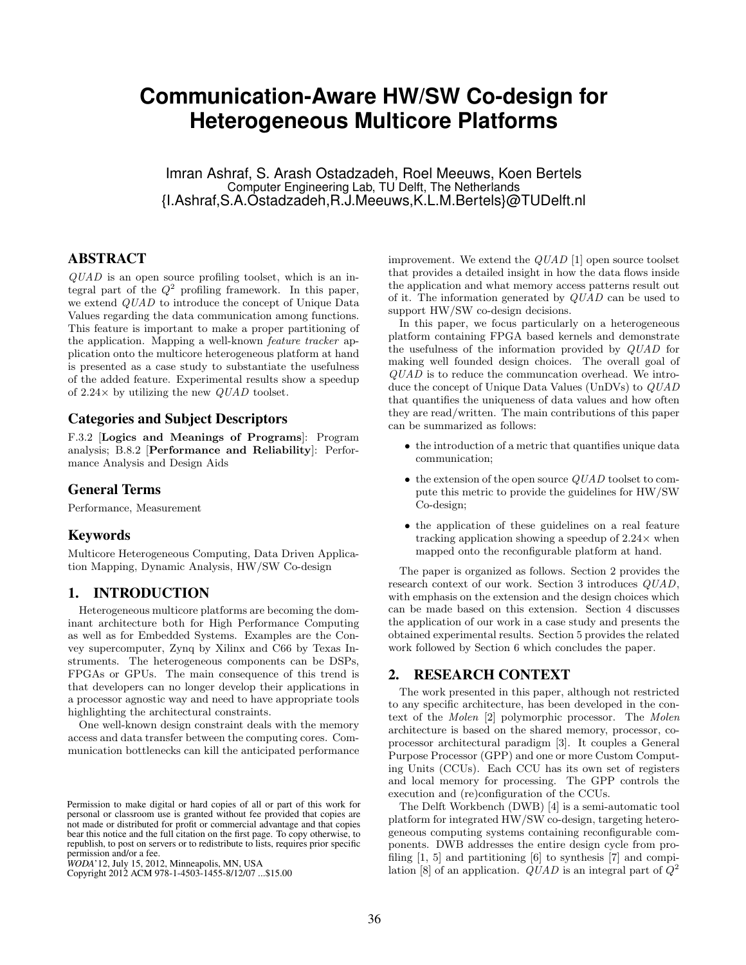# **Communication-Aware HW/SW Co-design for Heterogeneous Multicore Platforms**

Imran Ashraf, S. Arash Ostadzadeh, Roel Meeuws, Koen Bertels Computer Engineering Lab, TU Delft, The Netherlands {I.Ashraf,S.A.Ostadzadeh,R.J.Meeuws,K.L.M.Bertels}@TUDelft.nl

# ABSTRACT

QUAD is an open source profiling toolset, which is an integral part of the  $Q^2$  profiling framework. In this paper, we extend QUAD to introduce the concept of Unique Data Values regarding the data communication among functions. This feature is important to make a proper partitioning of the application. Mapping a well-known feature tracker application onto the multicore heterogeneous platform at hand is presented as a case study to substantiate the usefulness of the added feature. Experimental results show a speedup of 2.24 $\times$  by utilizing the new *QUAD* toolset.

#### Categories and Subject Descriptors

F.3.2 [Logics and Meanings of Programs]: Program analysis; B.8.2 [Performance and Reliability]: Performance Analysis and Design Aids

#### General Terms

Performance, Measurement

#### Keywords

Multicore Heterogeneous Computing, Data Driven Application Mapping, Dynamic Analysis, HW/SW Co-design

# 1. INTRODUCTION

Heterogeneous multicore platforms are becoming the dominant architecture both for High Performance Computing as well as for Embedded Systems. Examples are the Convey supercomputer, Zynq by Xilinx and C66 by Texas Instruments. The heterogeneous components can be DSPs, FPGAs or GPUs. The main consequence of this trend is that developers can no longer develop their applications in a processor agnostic way and need to have appropriate tools highlighting the architectural constraints.

One well-known design constraint deals with the memory access and data transfer between the computing cores. Communication bottlenecks can kill the anticipated performance

Copyright 2012 ACM 978-1-4503-1455-8/12/07 ...\$10.00. Copyright 2012 ACM 978-1-4503-1455-8/12/07 ...\$15.00

improvement. We extend the  $QUAD$  [1] open source toolset that provides a detailed insight in how the data flows inside the application and what memory access patterns result out of it. The information generated by QUAD can be used to support HW/SW co-design decisions.

In this paper, we focus particularly on a heterogeneous platform containing FPGA based kernels and demonstrate the usefulness of the information provided by QUAD for making well founded design choices. The overall goal of QUAD is to reduce the communcation overhead. We introduce the concept of Unique Data Values (UnDVs) to QUAD that quantifies the uniqueness of data values and how often they are read/written. The main contributions of this paper can be summarized as follows:

- the introduction of a metric that quantifies unique data communication;
- $\bullet$  the extension of the open source  $QUAD$  toolset to compute this metric to provide the guidelines for HW/SW Co-design;
- the application of these guidelines on a real feature tracking application showing a speedup of  $2.24\times$  when mapped onto the reconfigurable platform at hand.

The paper is organized as follows. Section 2 provides the research context of our work. Section 3 introduces QUAD, with emphasis on the extension and the design choices which can be made based on this extension. Section 4 discusses the application of our work in a case study and presents the obtained experimental results. Section 5 provides the related work followed by Section 6 which concludes the paper.

#### 2. RESEARCH CONTEXT

The work presented in this paper, although not restricted to any specific architecture, has been developed in the context of the Molen [2] polymorphic processor. The Molen architecture is based on the shared memory, processor, coprocessor architectural paradigm [3]. It couples a General Purpose Processor (GPP) and one or more Custom Computing Units (CCUs). Each CCU has its own set of registers and local memory for processing. The GPP controls the execution and (re)configuration of the CCUs.

The Delft Workbench (DWB) [4] is a semi-automatic tool platform for integrated HW/SW co-design, targeting heterogeneous computing systems containing reconfigurable components. DWB addresses the entire design cycle from profiling [1, 5] and partitioning [6] to synthesis [7] and compilation [8] of an application.  $QUAD$  is an integral part of  $Q^2$ 

Permission to make digital or hard copies of all or part of this work for Permission to make digital or hard copies of all or part of this work for not made or distributed for profit or commercial advantage and that copies not made or distributed for profit or commercial advantage and that copies bear this notice and the full citation on the first page. To copy otherwise, to bear this notice and the full citation on the first page. To copy otherwise, to republish, to post on servers or to redistribute to lists, requires prior specific republish, to post on servers or to redistribute to lists, requires prior specific permission and/or a fee. personal or classroom use is granted without fee provided that copies are

permission and/or a fee.<br>*WODA*'12, July 15, 2012, Minneapolis, MN, USA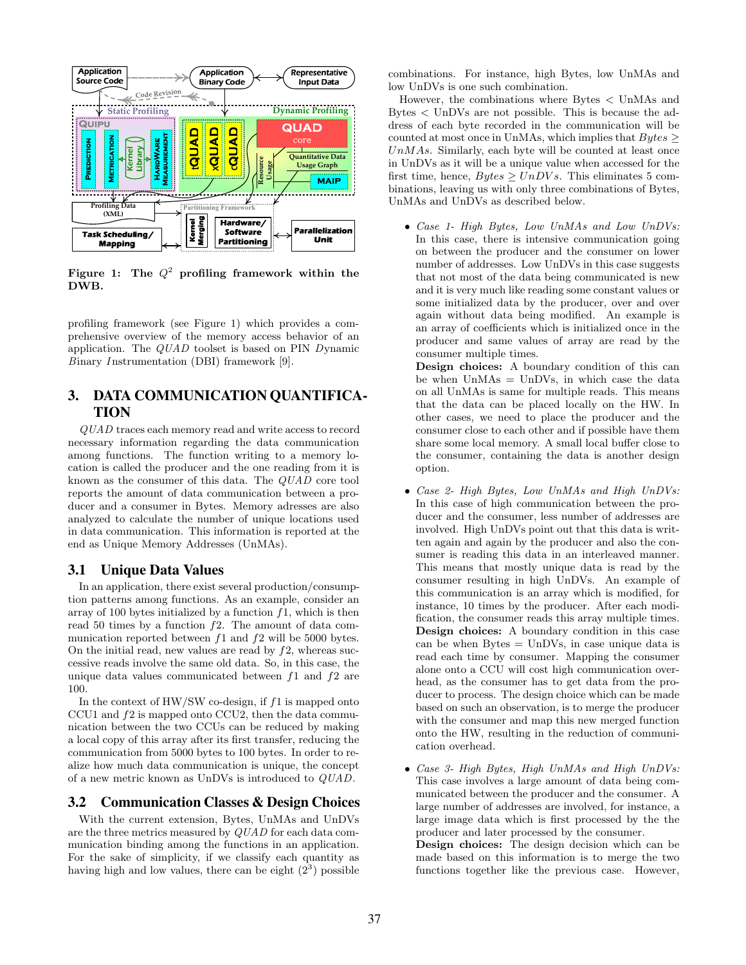

Figure 1: The  $Q^2$  profiling framework within the DWB.

profiling framework (see Figure 1) which provides a comprehensive overview of the memory access behavior of an application. The QUAD toolset is based on PIN Dynamic Binary Instrumentation (DBI) framework [9].

# 3. DATA COMMUNICATION QUANTIFICA-TION

QUAD traces each memory read and write access to record necessary information regarding the data communication among functions. The function writing to a memory location is called the producer and the one reading from it is known as the consumer of this data. The QUAD core tool reports the amount of data communication between a producer and a consumer in Bytes. Memory adresses are also analyzed to calculate the number of unique locations used in data communication. This information is reported at the end as Unique Memory Addresses (UnMAs).

# 3.1 Unique Data Values

In an application, there exist several production/consumption patterns among functions. As an example, consider an array of 100 bytes initialized by a function  $f_1$ , which is then read 50 times by a function  $f2$ . The amount of data communication reported between  $f1$  and  $f2$  will be 5000 bytes. On the initial read, new values are read by  $f2$ , whereas successive reads involve the same old data. So, in this case, the unique data values communicated between  $f_1$  and  $f_2$  are 100.

In the context of  $HW/SW$  co-design, if  $f1$  is mapped onto CCU1 and f2 is mapped onto CCU2, then the data communication between the two CCUs can be reduced by making a local copy of this array after its first transfer, reducing the communication from 5000 bytes to 100 bytes. In order to realize how much data communication is unique, the concept of a new metric known as UnDVs is introduced to QUAD.

# 3.2 Communication Classes & Design Choices

With the current extension, Bytes, UnMAs and UnDVs are the three metrics measured by QUAD for each data communication binding among the functions in an application. For the sake of simplicity, if we classify each quantity as having high and low values, there can be eight  $(2^3)$  possible

combinations. For instance, high Bytes, low UnMAs and low UnDVs is one such combination.

However, the combinations where Bytes < UnMAs and Bytes < UnDVs are not possible. This is because the address of each byte recorded in the communication will be counted at most once in UnMAs, which implies that  $Bytes \geq$  $UnMAs.$  Similarly, each byte will be counted at least once in UnDVs as it will be a unique value when accessed for the first time, hence,  $Bytes \geq UnDVs$ . This eliminates 5 combinations, leaving us with only three combinations of Bytes, UnMAs and UnDVs as described below.

• Case 1- High Bytes, Low UnMAs and Low UnDVs: In this case, there is intensive communication going on between the producer and the consumer on lower number of addresses. Low UnDVs in this case suggests that not most of the data being communicated is new and it is very much like reading some constant values or some initialized data by the producer, over and over again without data being modified. An example is an array of coefficients which is initialized once in the producer and same values of array are read by the consumer multiple times.

Design choices: A boundary condition of this can be when  $UnMAs = UnDVs$ , in which case the data on all UnMAs is same for multiple reads. This means that the data can be placed locally on the HW. In other cases, we need to place the producer and the consumer close to each other and if possible have them share some local memory. A small local buffer close to the consumer, containing the data is another design option.

- Case 2- High Bytes, Low UnMAs and High UnDVs: In this case of high communication between the producer and the consumer, less number of addresses are involved. High UnDVs point out that this data is written again and again by the producer and also the consumer is reading this data in an interleaved manner. This means that mostly unique data is read by the consumer resulting in high UnDVs. An example of this communication is an array which is modified, for instance, 10 times by the producer. After each modification, the consumer reads this array multiple times. Design choices: A boundary condition in this case can be when  $Bytes = UnDVs$ , in case unique data is read each time by consumer. Mapping the consumer alone onto a CCU will cost high communication overhead, as the consumer has to get data from the producer to process. The design choice which can be made based on such an observation, is to merge the producer with the consumer and map this new merged function onto the HW, resulting in the reduction of communication overhead.
- Case 3- High Bytes, High UnMAs and High UnDVs: This case involves a large amount of data being communicated between the producer and the consumer. A large number of addresses are involved, for instance, a large image data which is first processed by the the producer and later processed by the consumer. Design choices: The design decision which can be

made based on this information is to merge the two functions together like the previous case. However,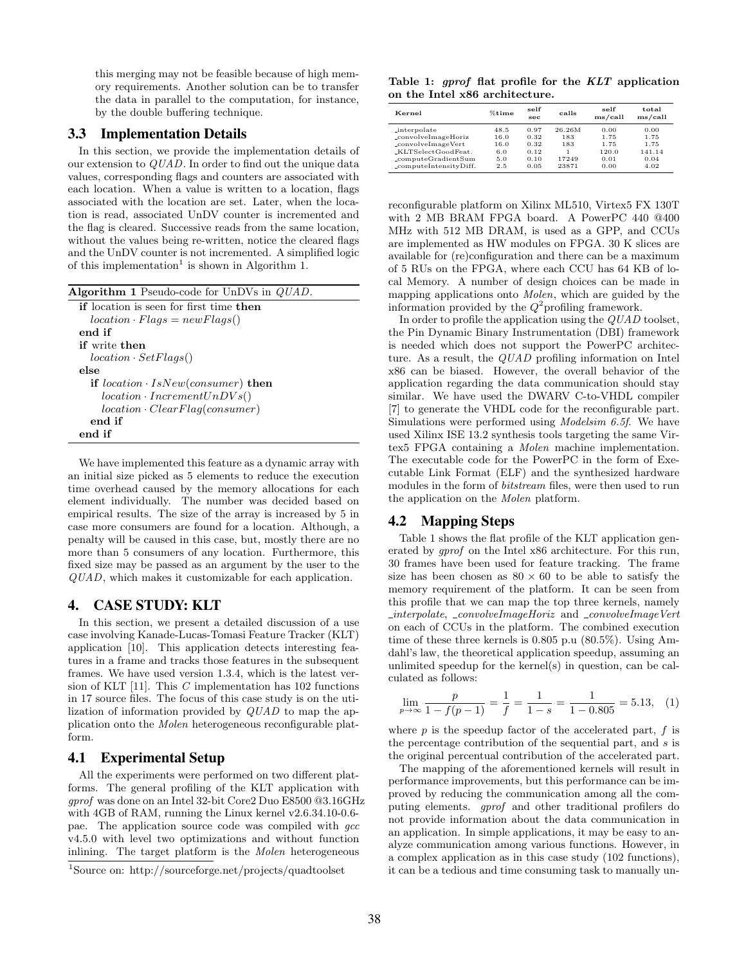this merging may not be feasible because of high memory requirements. Another solution can be to transfer the data in parallel to the computation, for instance, by the double buffering technique.

#### 3.3 Implementation Details

In this section, we provide the implementation details of our extension to QUAD. In order to find out the unique data values, corresponding flags and counters are associated with each location. When a value is written to a location, flags associated with the location are set. Later, when the location is read, associated UnDV counter is incremented and the flag is cleared. Successive reads from the same location, without the values being re-written, notice the cleared flags and the UnDV counter is not incremented. A simplified logic of this implementation<sup>1</sup> is shown in Algorithm 1.

| <b>Algorithm 1</b> Pseudo-code for UnDVs in <i>QUAD</i> . |
|-----------------------------------------------------------|
| <b>if</b> location is seen for first time <b>then</b>     |
| $location \cdot Flags = newFlags()$                       |
| end if                                                    |
| <b>if</b> write then                                      |
| $location \cdot SetFlags()$                               |
| else                                                      |
| if $location \cdot IsNew(constumer)$ then                 |
| $location \cdot IncrementUnDVs()$                         |
| $location \cdot ClearFlag( consumer)$                     |
| end if                                                    |
| end if                                                    |

We have implemented this feature as a dynamic array with an initial size picked as 5 elements to reduce the execution time overhead caused by the memory allocations for each element individually. The number was decided based on empirical results. The size of the array is increased by 5 in case more consumers are found for a location. Although, a penalty will be caused in this case, but, mostly there are no more than 5 consumers of any location. Furthermore, this fixed size may be passed as an argument by the user to the QUAD, which makes it customizable for each application.

#### 4. CASE STUDY: KLT

In this section, we present a detailed discussion of a use case involving Kanade-Lucas-Tomasi Feature Tracker (KLT) application [10]. This application detects interesting features in a frame and tracks those features in the subsequent frames. We have used version 1.3.4, which is the latest version of KLT  $[11]$ . This C implementation has 102 functions in 17 source files. The focus of this case study is on the utilization of information provided by QUAD to map the application onto the Molen heterogeneous reconfigurable platform.

#### 4.1 Experimental Setup

All the experiments were performed on two different platforms. The general profiling of the KLT application with gprof was done on an Intel 32-bit Core2 Duo E8500 @3.16GHz with 4GB of RAM, running the Linux kernel v2.6.34.10-0.6 pae. The application source code was compiled with *qcc* v4.5.0 with level two optimizations and without function inlining. The target platform is the Molen heterogeneous

Table 1: gprof flat profile for the KLT application on the Intel x86 architecture.

| Kernel                 | %time | self<br>sec. | calls  | self<br>ms/call | total<br>ms/call |
|------------------------|-------|--------------|--------|-----------------|------------------|
| interpolate            | 48.5  | 0.97         | 26.26M | 0.00            | 0.00             |
| _convolveImageHoriz    | 16.0  | 0.32         | 183    | 1.75            | 1.75             |
| _convolveImageVert     | 16.0  | 0.32         | 183    | 1.75            | 1.75             |
| _KLTSelectGoodFeat.    | 6.0   | 0.12         |        | 120.0           | 141.14           |
| _computeGradientSum    | 5.0   | 0.10         | 17249  | 0.01            | 0.04             |
| _computeIntensityDiff. | 2.5   | 0.05         | 23871  | 0.00            | 4.02             |

reconfigurable platform on Xilinx ML510, Virtex5 FX 130T with 2 MB BRAM FPGA board. A PowerPC 440 @400 MHz with 512 MB DRAM, is used as a GPP, and CCUs are implemented as HW modules on FPGA. 30 K slices are available for (re)configuration and there can be a maximum of 5 RUs on the FPGA, where each CCU has 64 KB of local Memory. A number of design choices can be made in mapping applications onto Molen, which are guided by the information provided by the  $Q^2$  profiling framework.

In order to profile the application using the QUAD toolset, the Pin Dynamic Binary Instrumentation (DBI) framework is needed which does not support the PowerPC architecture. As a result, the QUAD profiling information on Intel x86 can be biased. However, the overall behavior of the application regarding the data communication should stay similar. We have used the DWARV C-to-VHDL compiler [7] to generate the VHDL code for the reconfigurable part. Simulations were performed using Modelsim 6.5f. We have used Xilinx ISE 13.2 synthesis tools targeting the same Virtex5 FPGA containing a Molen machine implementation. The executable code for the PowerPC in the form of Executable Link Format (ELF) and the synthesized hardware modules in the form of bitstream files, were then used to run the application on the Molen platform.

### 4.2 Mapping Steps

Table 1 shows the flat profile of the KLT application generated by gprof on the Intel x86 architecture. For this run, 30 frames have been used for feature tracking. The frame size has been chosen as  $80 \times 60$  to be able to satisfy the memory requirement of the platform. It can be seen from this profile that we can map the top three kernels, namely  $\iota$ interpolate,  $\iota$ convolveImageHoriz and  $\iota$ convolveImageVert on each of CCUs in the platform. The combined execution time of these three kernels is 0.805 p.u (80.5%). Using Amdahl's law, the theoretical application speedup, assuming an unlimited speedup for the kernel(s) in question, can be calculated as follows:

$$
\lim_{p \to \infty} \frac{p}{1 - f(p - 1)} = \frac{1}{f} = \frac{1}{1 - s} = \frac{1}{1 - 0.805} = 5.13, \quad (1)
$$

where  $p$  is the speedup factor of the accelerated part,  $f$  is the percentage contribution of the sequential part, and s is the original percentual contribution of the accelerated part.

The mapping of the aforementioned kernels will result in performance improvements, but this performance can be improved by reducing the communication among all the computing elements. gprof and other traditional profilers do not provide information about the data communication in an application. In simple applications, it may be easy to analyze communication among various functions. However, in a complex application as in this case study (102 functions), it can be a tedious and time consuming task to manually un-

<sup>1</sup>Source on: http://sourceforge.net/projects/quadtoolset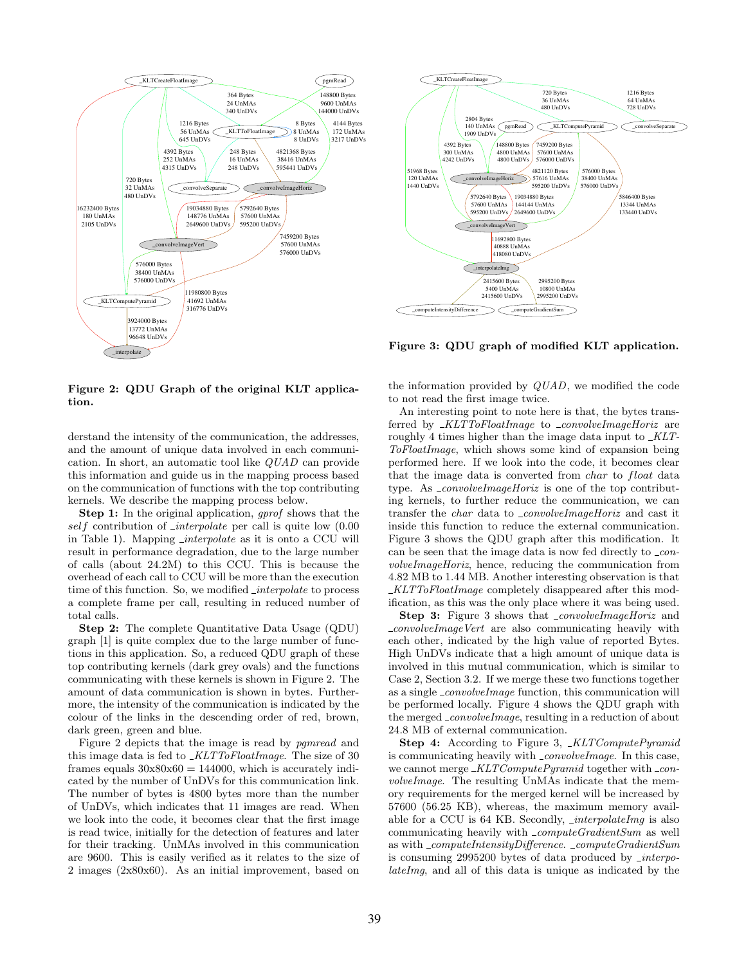

\_interpolateImg \_computeIntensityDifference  $2415600$  Bytes 5400 UnMA 2415600 UnDVs \_computeGradientSum 2995200 Bytes 10800 UnMA 2995200 UnDVs pgmRead \_convolveImageHoriz 148800 Bytes 4800 UnMAs 4800 UnDVs 4821120 Bytes 57616 UnMAs 595200 UnDVs \_convolveImageVert 19034880 Bytes 144144 UnMAs 2649600 UnDVs KLTComp 5846400 Bytes 13344 UnMAs 133440 UnDVs 459200 Byte 57600 UnMAs 576000 UnDVs KLTCreateFloatIma 51968 Bytes 120 UnMAs 1440 UnDVs 2804 Bytes 140 UnMAs 1909 UnDV 720 Bytes 36 UnMAs 480 UnDVs 4392 Bytes 300 UnMAs 4242 UnDVs convolveSepar 1216 Bytes 64 UnMAs 728 UnDVs 11692800 Bytes 40888 UnMAs 418080 UnDV 5792640 Bytes 57600 UnMAs 595200 UnDVs 576000 Bytes 38400 UnMAs 576000 UnDVs

Figure 3: QDU graph of modified KLT application.

Figure 2: QDU Graph of the original KLT application.

derstand the intensity of the communication, the addresses, and the amount of unique data involved in each communication. In short, an automatic tool like QUAD can provide this information and guide us in the mapping process based on the communication of functions with the top contributing kernels. We describe the mapping process below.

Step 1: In the original application, *gprof* shows that the self contribution of  $\text{interpolate}$  per call is quite low  $(0.00)$ in Table 1). Mapping  $\text{interpolate}$  as it is onto a CCU will result in performance degradation, due to the large number of calls (about 24.2M) to this CCU. This is because the overhead of each call to CCU will be more than the execution time of this function. So, we modified  $\iota$ *interpolate* to process a complete frame per call, resulting in reduced number of total calls.

Step 2: The complete Quantitative Data Usage (QDU) graph [1] is quite complex due to the large number of functions in this application. So, a reduced QDU graph of these top contributing kernels (dark grey ovals) and the functions communicating with these kernels is shown in Figure 2. The amount of data communication is shown in bytes. Furthermore, the intensity of the communication is indicated by the colour of the links in the descending order of red, brown, dark green, green and blue.

Figure 2 depicts that the image is read by pgmread and this image data is fed to  $_KLTToFloatImage$ . The size of 30 frames equals  $30x80x60 = 144000$ , which is accurately indicated by the number of UnDVs for this communication link. The number of bytes is 4800 bytes more than the number of UnDVs, which indicates that 11 images are read. When we look into the code, it becomes clear that the first image is read twice, initially for the detection of features and later for their tracking. UnMAs involved in this communication are 9600. This is easily verified as it relates to the size of 2 images (2x80x60). As an initial improvement, based on

the information provided by QUAD, we modified the code to not read the first image twice.

An interesting point to note here is that, the bytes transferred by  $_KLTToFloatImage$  to  $_{convolveImageHoriz}$  are roughly 4 times higher than the image data input to  $_KLT$ -ToFloatImage, which shows some kind of expansion being performed here. If we look into the code, it becomes clear that the image data is converted from *char* to *float* data type. As \_convolveImageHoriz is one of the top contributing kernels, to further reduce the communication, we can transfer the *char* data to \_*convolveImageHoriz* and cast it inside this function to reduce the external communication. Figure 3 shows the QDU graph after this modification. It can be seen that the image data is now fed directly to  $\text{\textendash} con$ volveImageHoriz, hence, reducing the communication from 4.82 MB to 1.44 MB. Another interesting observation is that KLTToFloatImage completely disappeared after this modification, as this was the only place where it was being used.

Step 3: Figure 3 shows that *\_convolveImageHoriz* and  $\text{\textendash} \text{convolve} \text{Image Vert}$  are also communicating heavily with each other, indicated by the high value of reported Bytes. High UnDVs indicate that a high amount of unique data is involved in this mutual communication, which is similar to Case 2, Section 3.2. If we merge these two functions together as a single  $\text{\textdegree}$  *convolveImage* function, this communication will be performed locally. Figure 4 shows the QDU graph with the merged *\_convolveImage*, resulting in a reduction of about 24.8 MB of external communication.

Step 4: According to Figure 3, \_KLTComputePyramid is communicating heavily with  $\text{\textdegree{}}\text{\textdegree{}}$  convolveImage. In this case, we cannot merge  $\_KLTComputePyramid$  together with  $\_con$ volveImage. The resulting UnMAs indicate that the memory requirements for the merged kernel will be increased by 57600 (56.25 KB), whereas, the maximum memory available for a CCU is 64 KB. Secondly, *interpolateImg* is also communicating heavily with  $_{\sim}$ computeGradientSum as well as with \_computeIntensityDifference. \_computeGradientSum is consuming  $2995200$  bytes of data produced by  $\iota$ *interpo*lateImg, and all of this data is unique as indicated by the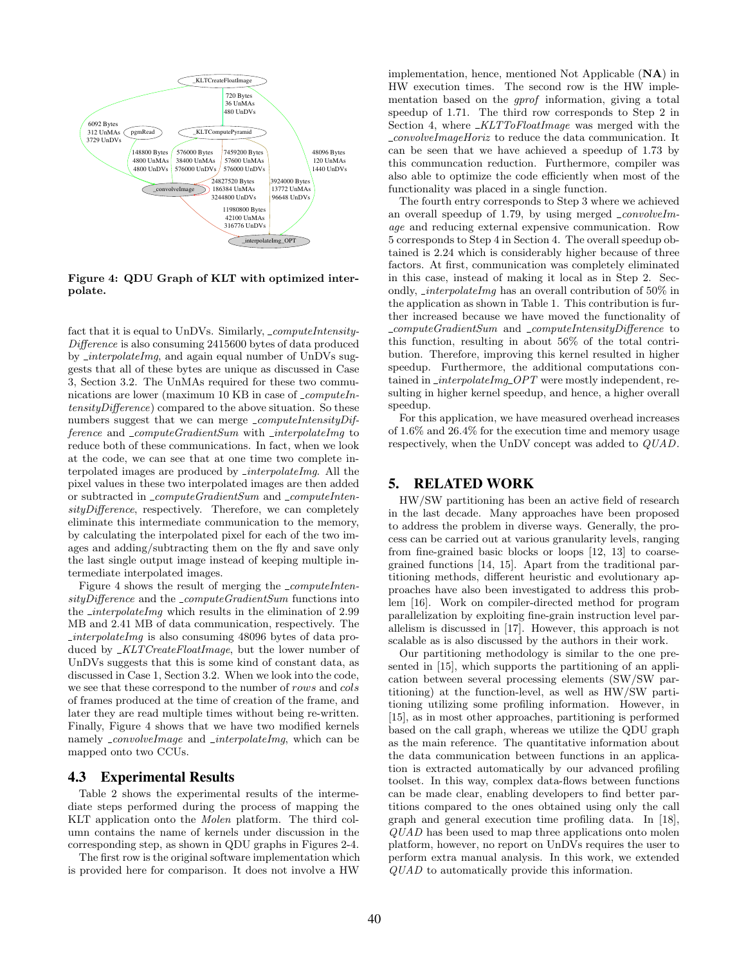

Figure 4: QDU Graph of KLT with optimized interpolate.

fact that it is equal to UnDVs. Similarly, \_computeIntensity-Difference is also consuming 2415600 bytes of data produced by *interpolateImg*, and again equal number of UnDVs suggests that all of these bytes are unique as discussed in Case 3, Section 3.2. The UnMAs required for these two communications are lower (maximum 10 KB in case of  $\_computeIn$ tensityDifference) compared to the above situation. So these numbers suggest that we can merge  $\_computeIntensityDiff$ ference and  $\_computeGradientSum$  with  $\_interpolateImq$  to reduce both of these communications. In fact, when we look at the code, we can see that at one time two complete interpolated images are produced by *interpolateImg*. All the pixel values in these two interpolated images are then added or subtracted in \_computeGradientSum and \_computeIntensityDifference, respectively. Therefore, we can completely eliminate this intermediate communication to the memory, by calculating the interpolated pixel for each of the two images and adding/subtracting them on the fly and save only the last single output image instead of keeping multiple intermediate interpolated images.

Figure 4 shows the result of merging the  $\_computeInten$  $sityDifference$  and the  $\_computeGradientSum$  functions into the  $\text{-}interpolateImq$  which results in the elimination of 2.99 MB and 2.41 MB of data communication, respectively. The  $interpolateImq$  is also consuming 48096 bytes of data produced by \_KLTCreateFloatImage, but the lower number of UnDVs suggests that this is some kind of constant data, as discussed in Case 1, Section 3.2. When we look into the code, we see that these correspond to the number of rows and cols of frames produced at the time of creation of the frame, and later they are read multiple times without being re-written. Finally, Figure 4 shows that we have two modified kernels namely *convolveImage* and *interpolateImg*, which can be mapped onto two CCUs.

# 4.3 Experimental Results

Table 2 shows the experimental results of the intermediate steps performed during the process of mapping the KLT application onto the Molen platform. The third column contains the name of kernels under discussion in the corresponding step, as shown in QDU graphs in Figures 2-4.

The first row is the original software implementation which is provided here for comparison. It does not involve a HW implementation, hence, mentioned Not Applicable (NA) in HW execution times. The second row is the HW implementation based on the gprof information, giving a total speedup of 1.71. The third row corresponds to Step 2 in Section 4, where  $\_KLTToFloatImage$  was merged with the convolveImageHoriz to reduce the data communication. It can be seen that we have achieved a speedup of 1.73 by this communcation reduction. Furthermore, compiler was also able to optimize the code efficiently when most of the functionality was placed in a single function.

The fourth entry corresponds to Step 3 where we achieved an overall speedup of 1.79, by using merged  $\text{\textdegree}$ *convolveIm*age and reducing external expensive communication. Row 5 corresponds to Step 4 in Section 4. The overall speedup obtained is 2.24 which is considerably higher because of three factors. At first, communication was completely eliminated in this case, instead of making it local as in Step 2. Secondly, interpolateImg has an overall contribution of 50% in the application as shown in Table 1. This contribution is further increased because we have moved the functionality of \_computeGradientSum and \_computeIntensityDifference to this function, resulting in about 56% of the total contribution. Therefore, improving this kernel resulted in higher speedup. Furthermore, the additional computations contained in  $\text{interpolate}$   $\text{diag} \text{OPT}$  were mostly independent, resulting in higher kernel speedup, and hence, a higher overall speedup.

For this application, we have measured overhead increases of 1.6% and 26.4% for the execution time and memory usage respectively, when the UnDV concept was added to QUAD.

#### 5. RELATED WORK

HW/SW partitioning has been an active field of research in the last decade. Many approaches have been proposed to address the problem in diverse ways. Generally, the process can be carried out at various granularity levels, ranging from fine-grained basic blocks or loops [12, 13] to coarsegrained functions [14, 15]. Apart from the traditional partitioning methods, different heuristic and evolutionary approaches have also been investigated to address this problem [16]. Work on compiler-directed method for program parallelization by exploiting fine-grain instruction level parallelism is discussed in [17]. However, this approach is not scalable as is also discussed by the authors in their work.

Our partitioning methodology is similar to the one presented in [15], which supports the partitioning of an application between several processing elements (SW/SW partitioning) at the function-level, as well as HW/SW partitioning utilizing some profiling information. However, in [15], as in most other approaches, partitioning is performed based on the call graph, whereas we utilize the QDU graph as the main reference. The quantitative information about the data communication between functions in an application is extracted automatically by our advanced profiling toolset. In this way, complex data-flows between functions can be made clear, enabling developers to find better partitions compared to the ones obtained using only the call graph and general execution time profiling data. In [18], QUAD has been used to map three applications onto molen platform, however, no report on UnDVs requires the user to perform extra manual analysis. In this work, we extended QUAD to automatically provide this information.